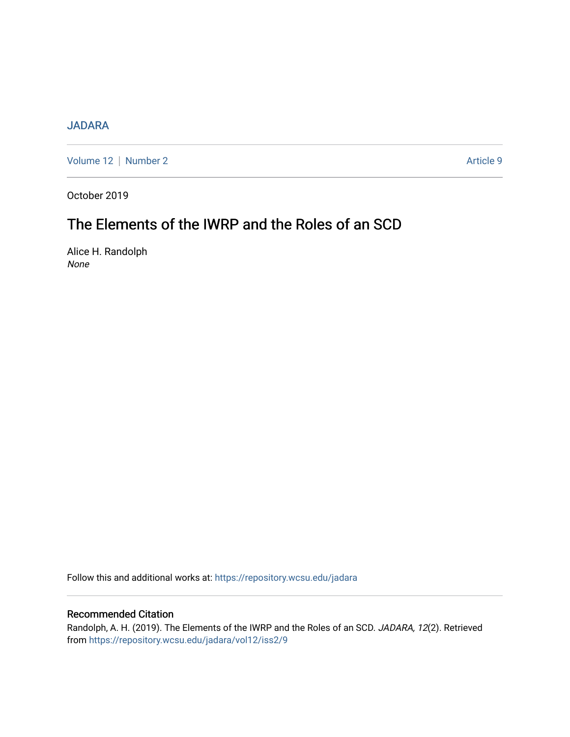# [JADARA](https://repository.wcsu.edu/jadara)

[Volume 12](https://repository.wcsu.edu/jadara/vol12) | [Number 2](https://repository.wcsu.edu/jadara/vol12/iss2) Article 9

October 2019

# The Elements of the IWRP and the Roles of an SCD

Alice H. Randolph None

Follow this and additional works at: [https://repository.wcsu.edu/jadara](https://repository.wcsu.edu/jadara?utm_source=repository.wcsu.edu%2Fjadara%2Fvol12%2Fiss2%2F9&utm_medium=PDF&utm_campaign=PDFCoverPages)

## Recommended Citation

Randolph, A. H. (2019). The Elements of the IWRP and the Roles of an SCD. JADARA, 12(2). Retrieved from [https://repository.wcsu.edu/jadara/vol12/iss2/9](https://repository.wcsu.edu/jadara/vol12/iss2/9?utm_source=repository.wcsu.edu%2Fjadara%2Fvol12%2Fiss2%2F9&utm_medium=PDF&utm_campaign=PDFCoverPages)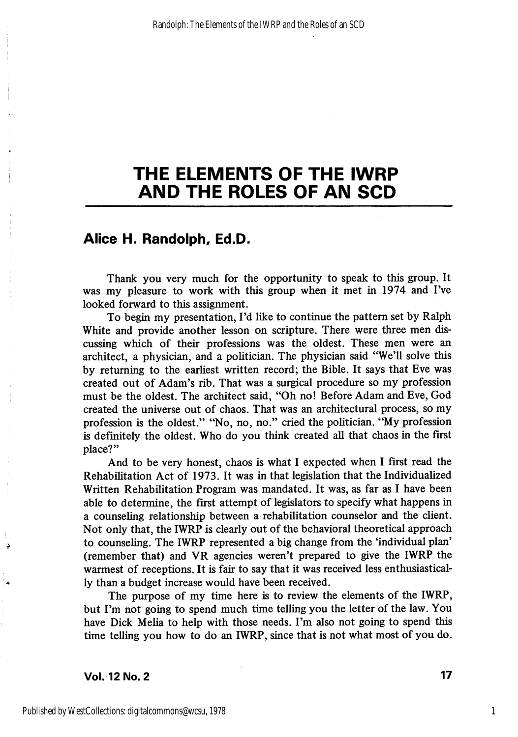### Alice H. Randolph, Ed.D.

Thank you very much for the opportunity to speak to this group. It was my pleasure to work with this group when it met in 1974 and I've looked forward to this assignment.

To begin my presentation, I'd like to continue the pattern set by Ralph White and provide another lesson on scripture. There were three men dis cussing which of their professions was the oldest. These men were an architect, a physician, and a politician. The physician said "We'll solve this by returning to the earliest written record; the Bible. It says that Eve was created out of Adam's rib. That was a surgical procedure so my profession must be the oldest. The architect said, "Oh no! Before Adam and Eve, God created the universe out of chaos. That was an architectural process, so my profession is the oldest." "No, no, no." cried the politician. "My profession is definitely the oldest. Who do you think created all that chaos in the first place?"

And to be very honest, chaos is what 1 expected when 1 first read the Rehabilitation Act of 1973. It was in that legislation that the Individualized Written Rehabilitation Program was mandated. It was, as far as I have been able to determine, the first attempt of legislators to specify what happens in a counseling relationship between a rehabilitation counselor and the client. Not only that, the IWRP is clearly out of the behavioral theoretical approach to counseling. The IWRP represented a big change from the 'individual plan' (remember that) and VR agencies weren't prepared to give the IWRP the warmest of receptions. It is fair to say that it was received less enthusiastical ly than a budget increase would have been received.

The purpose of my time here is to review the elements of the IWRP, but I'm not going to spend much time telling you the letter of the law. You have Dick Melia to help with those needs. I'm also not going to spend this time telling you how to do an IWRP, since that is not what most of you do.

Vol. 12 No. 2 17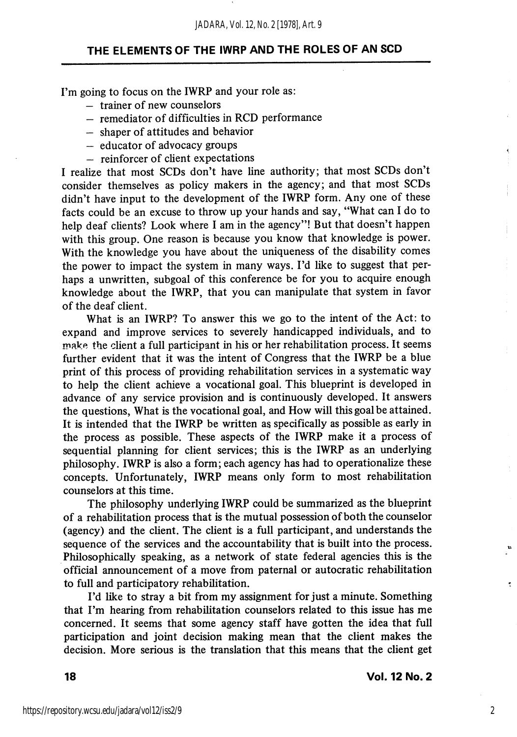I'm going to focus on the IWRP and your role as:

- trainer of new counselors
- remediator of difficulties in RCD performance
- shaper of attitudes and behavior
- educator of advocacy groups
- reinforcer of client expectations

I realize that most SCDs don't have line authority; that most SCDs don't consider themselves as policy makers in the agency; and that most SCDs didn't have input to the development of the IWRP form. Any one of these facts could be an excuse to throw up your hands and say, "What can I do to help deaf clients? Look where I am in the agency"! But that doesn't happen with this group. One reason is because you know that knowledge is power. With the knowledge you have about the uniqueness of the disability comes the power to impact the system in many ways. I'd like to suggest that per haps a unwritten, subgoal of this conference be for you to acquire enough knowledge about the IWRP, that you can manipulate that system in favor of the deaf client.

What is an IWRP? To answer this we go to the intent of the Act: to expand and improve services to severely handicapped individuals, and to make the client a full participant in his or her rehabilitation process. It seems further evident that it was the intent of Congress that the IWRP be a blue print of this process of providing rehabilitation services in a systematic way to help the client achieve a vocational goal. This blueprint is developed in advance of any service provision and is continuously developed. It answers the questions. What is the vocational goal, and How will this goal be attained. It is intended that the IWRP be written as specifically as possible as early in the process as possible. These aspects of the IWRP make it a process of sequential planning for client services; this is the IWRP as an underlying philosophy. IWRP is also a form; each agency has had to operationalize these concepts. Unfortunately, IWRP means only form to most rehabilitation counselors at this time.

The philosophy underlying IWRP could be summarized as the blueprint of a rehabilitation process that is the mutual possession of both the counselor (agency) and the client. The client is a full participant, and understands the sequence of the services and the accountability that is built into the process. Philosophically speaking, as a network of state federal agencies this is the official announcement of a move from paternal or autocratic rehabilitation to full and participatory rehabilitation.

I'd like to stray a bit from my assignment for just a minute. Something that I'm hearing from rehabilitation counselors related to this issue has me concerned. It seems that some agency staff have gotten the idea that full participation and joint decision making mean that the client makes the decision. More serious is the translation that this means that the client get

ę.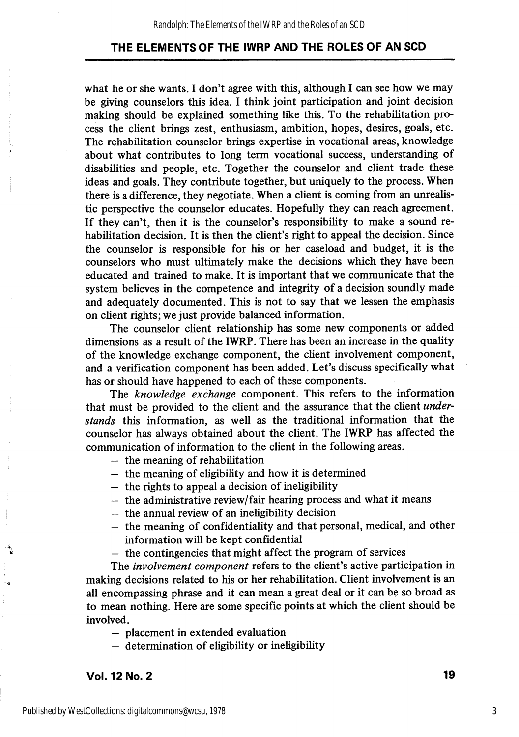what he or she wants. I don't agree with this, although I can see how we may be giving counselors this idea. I think joint participation and joint decision making should be explained something like this. To the rehabilitation pro cess the client brings zest, enthusiasm, ambition, hopes, desires, goals, etc. The rehabilitation counselor brings expertise in vocational areas, knowledge about what contributes to long term vocational success, understanding of disabilities and people, etc. Together the counselor and client trade these ideas and goals. They contribute together, but uniquely to the process. When there is a difference, they negotiate. When a client is coming from an unrealistic perspective the counselor educates. Hopefully they can reach agreement. If they can't, then it is the counselor's responsibility to make a sound rehabilitation decision. It is then the client's right to appeal the decision. Since the counselor is responsible for his or her caseload and budget, it is the counselors who must ultimately make the decisions which they have been educated and trained to make. It is important that we communicate that the system believes in the competence and integrity of a decision soundly made and adequately documented. This is not to say that we lessen the emphasis on client rights; we just provide balanced information.

The counselor client relationship has some new components or added dimensions as a result of the IWRP. There has been an increase in the quality of the knowledge exchange component, the client involvement component, and a verification component has been added. Let's discuss specifically what has or should have happened to each of these components.

The knowledge exchange component. This refers to the information that must be provided to the client and the assurance that the client *under*stands this information, as well as the traditional information that the counselor has always obtained about the client. The IWRP has affected the communication of information to the client in the following areas.

- the meaning of rehabilitation
- the meaning of eligibility and how it is determined
- the rights to appeal a decision of ineligibility
- $-$  the administrative review/fair hearing process and what it means
- the annual review of an ineligibility decision
- the meaning of confidentiality and that personal, medical, and other information will be kept confidential
- the contingencies that might affect the program of services

The involvement component refers to the client's active participation in making decisions related to his or her rehabilitation. Client involvement is an all encompassing phrase and it can mean a great deal or it can be so broad as to mean nothing. Here are some specific points at which the client should be involved.

— placement in extended evaluation

 $-$  determination of eligibility or ineligibility

Vol. 12 No. 2 19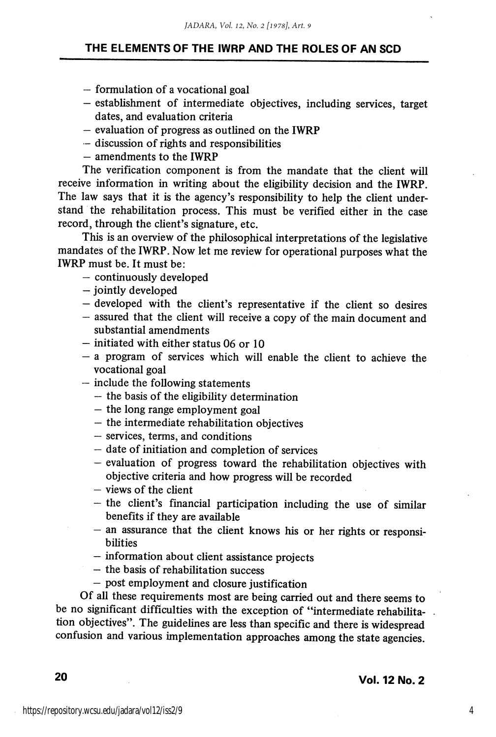- formulation of a vocational goal
- establishment of intermediate objectives, including services, target dates, and evaluation criteria
- evaluation of progress as outlined on the IWRP
- discussion of rights and responsibilities
- amendments to the IWRP

The verification component is from the mandate that the client will receive information in writing about the eligibility decision and the IWRP. The law says that it is the agency's responsibility to help the client understand the rehabilitation process. This must be verified either in the case record, through the client's signature, etc.

This is an overview of the philosophical interpretations of the legislative mandates of the IWRP. Now let me review for operational purposes what the IWRP must be. It must be:

- continuously developed
- jointly developed
- $-$  developed with the client's representative if the client so desires
- assured that the client will receive a copy of the main document and substantial amendments
- initiated with either status 06 or 10
- $-$  a program of services which will enable the client to achieve the vocational goal
- $-$  include the following statements
	- the basis of the ehgibility determination
	- the long range employment goal
	- the intermediate rehabihtation objectives
	- services, terms, and conditions
	- date of initiation and completion of services
	- evaluation of progress toward the rehabihtation objectives with objective criteria and how progress will be recorded
	- $-$  views of the client
	- $-$  the client's financial participation including the use of similar benefits if they are available
	- $-$  an assurance that the client knows his or her rights or responsi**bilities**
	- $-$  information about client assistance projects
	- the basis of rehabihtation success
	- post employment and closure justification

Of all these requirements most are being carried out and there seems to be no significant difficulties with the exception of "intermediate rehabilita tion objectives". The guidelines are less than specific and there is widespread confusion and various implementation approaches among the state agencies.